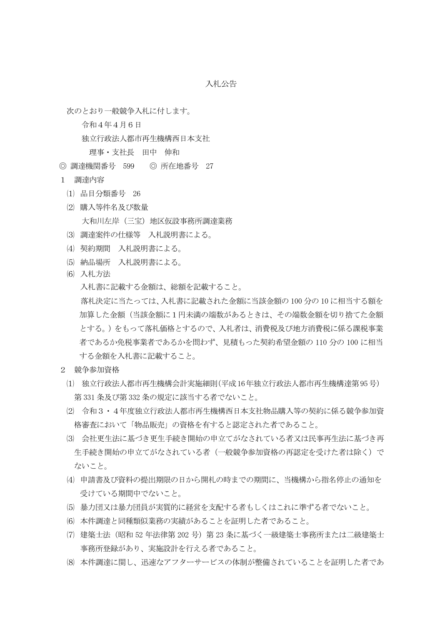次のとおり一般競争入札に付します。

令和4年4月6日

独立行政法人都市再生機構西日本支社

理事・支社長 田中 伸和

- ◎ 調達機関番号 599 ◎ 所在地番号 27
- 1 調達内容
	- ⑴ 品目分類番号 26
	- ⑵ 購入等件名及び数量 大和川左岸(三宝)地区仮設事務所調達業務
	- ⑶ 調達案件の仕様等 入札説明書による。
	- ⑷ 契約期間 入札説明書による。
	- ⑸ 納品場所 入札説明書による。
	- ⑹ 入札方法

入札書に記載する金額は、総額を記載すること。

落札決定に当たっては、入札書に記載された金額に当該金額の 100 分の 10 に相当する額を 加算した金額(当該金額に1円未満の端数があるときは、その端数金額を切り捨てた金額 とする。)をもって落札価格とするので、入札者は、消費税及び地方消費税に係る課税事業 者であるか免税事業者であるかを問わず、見積もった契約希望金額の 110 分の 100 に相当 する金額を入札書に記載すること。

- 2 競争参加資格
	- ⑴ 独立行政法人都市再生機構会計実施細則(平成16年独立行政法人都市再生機構達第95号) 第 331 条及び第 332 条の規定に該当する者でないこと。
	- ⑵ 令和3・4年度独立行政法人都市再生機構西日本支社物品購入等の契約に係る競争参加資 格審査において「物品販売」の資格を有すると認定された者であること。
	- ⑶ 会社更生法に基づき更生手続き開始の申立てがなされている者又は民事再生法に基づき再 生手続き開始の申立てがなされている者(一般競争参加資格の再認定を受けた者は除く)で ないこと。
	- ⑷ 申請書及び資料の提出期限の日から開札の時までの期間に、当機構から指名停止の通知を 受けている期間中でないこと。
	- ⑸ 暴力団又は暴力団員が実質的に経営を支配する者もしくはこれに準ずる者でないこと。
	- ⑹ 本件調達と同種類似業務の実績があることを証明した者であること。
	- ⑺ 建築士法(昭和 52 年法律第 202 号)第 23 条に基づく一級建築士事務所または二級建築士 事務所登録があり、実施設計を行える者であること。
	- ⑻ 本件調達に関し、迅速なアフターサービスの体制が整備されていることを証明した者であ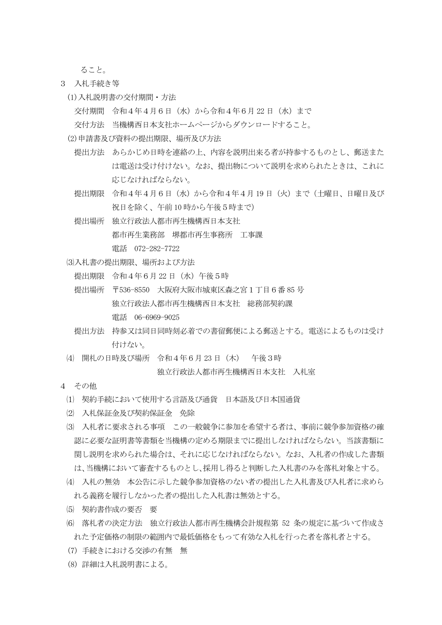ること。

- 3 入札手続き等
	- (1)入札説明書の交付期間・方法
		- 交付期間 令和4年4月6日(水)から令和4年6月 22 日(水)まで
		- 交付方法 当機構西日本支社ホームページからダウンロードすること。
	- (2)申請書及び資料の提出期限、場所及び方法
		- 提出方法 あらかじめ日時を連絡の上、内容を説明出来る者が持参するものとし、郵送また は電送は受け付けない。なお、提出物について説明を求められたときは、これに 応じなければならない。
		- 提出期限 令和4年4月6日(水)から令和4年4月 19 日(火)まで(土曜日、日曜日及び 祝日を除く、午前 10 時から午後5時まで)
		- 提出場所 独立行政法人都市再生機構西日本支社 都市再生業務部 堺都市再生事務所 工事課 電話 072-282-7722
	- ⑶入札書の提出期限、場所および方法
		- 提出期限 令和4年6月 22 日(水)午後5時
		- 提出場所 〒536-8550 大阪府大阪市城東区森之宮1丁目6番 85 号 独立行政法人都市再生機構西日本支社 総務部契約課 電話 06-6969-9025
		- 提出方法 持参又は同日同時刻必着での書留郵便による郵送とする。電送によるものは受け 付けない。
	- ⑷ 開札の日時及び場所 令和4年6月 23 日(木) 午後3時

独立行政法人都市再生機構西日本支社 入札室

- 4 その他
	- ⑴ 契約手続において使用する言語及び通貨 日本語及び日本国通貨
	- ⑵ 入札保証金及び契約保証金 免除
	- ⑶ 入札者に要求される事項 この一般競争に参加を希望する者は、事前に競争参加資格の確 認に必要な証明書等書類を当機構の定める期限までに提出しなければならない。当該書類に 関し説明を求められた場合は、それに応じなければならない。なお、入札者の作成した書類 は、当機構において審査するものとし、採用し得ると判断した入札書のみを落札対象とする。
	- ⑷ 入札の無効 本公告に示した競争参加資格のない者の提出した入札書及び入札者に求めら れる義務を履行しなかった者の提出した入札書は無効とする。
	- ⑸ 契約書作成の要否 要
	- ⑹ 落札者の決定方法 独立行政法人都市再生機構会計規程第 52 条の規定に基づいて作成さ れた予定価格の制限の範囲内で最低価格をもって有効な入札を行った者を落札者とする。
	- (7) 手続きにおける交渉の有無 無
	- (8) 詳細は入札説明書による。